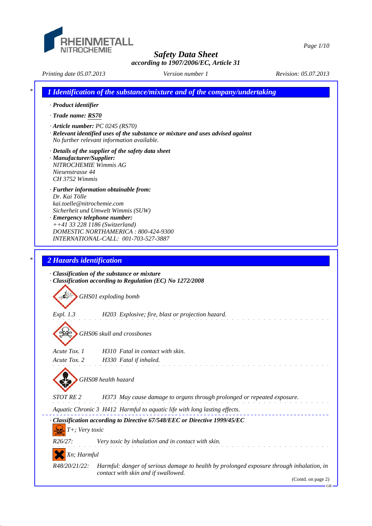

*Page 1/10*

*Printing date 05.07.2013 Revision: 05.07.2013 Version number 1*

*\* 1 Identification of the substance/mixture and of the company/undertaking · Product identifier · Trade name: RS70 · Article number: PC 0245 (RS70) · Relevant identified uses of the substance or mixture and uses advised against No further relevant information available. · Details of the supplier of the safety data sheet · Manufacturer/Supplier: NITROCHEMIE Wimmis AG Niesenstrasse 44 CH 3752 Wimmis · Further information obtainable from: Dr. Kai Tölle kai.toelle@nitrochemie.com Sicherheit und Umwelt Wimmis (SUW) · Emergency telephone number: ++41 33 228 1186 (Switzerland) DOMESTIC NORTHAMERICA : 800-424-9300 INTERNATIONAL-CALL: 001-703-527-3887 \* 2 Hazards identification · Classification of the substance or mixture · Classification according to Regulation (EC) No 1272/2008 GHS01 exploding bomb Expl. 1.3 H203 Explosive; fire, blast or projection hazard. GHS06 skull and crossbones Acute Tox. 1 H310 Fatal in contact with skin. Acute Tox. 2 H330 Fatal if inhaled. GHS08 health hazard STOT RE 2 H373 May cause damage to organs through prolonged or repeated exposure. Aquatic Chronic 3 H412 Harmful to aquatic life with long lasting effects. · Classification according to Directive 67/548/EEC or Directive 1999/45/EC T+; Very toxic R26/27: Very toxic by inhalation and in contact with skin. Xn; Harmful R48/20/21/22: Harmful: danger of serious damage to health by prolonged exposure through inhalation, in contact with skin and if swallowed.* (Contd. on page 2) GB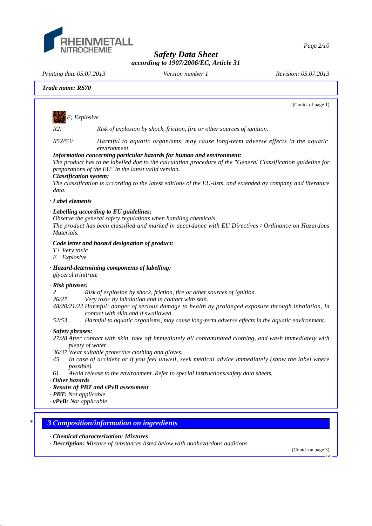

*Page 2/10*

*Safety Data Sheet according to 1907/2006/EC, Article 31*

*Printing date 05.07.2013 Revision: 05.07.2013 Version number 1*

|                                                                                           | (Contd. of page 1)                                                                                                                                                                                                                                                                                                                                                                                                                                                   |
|-------------------------------------------------------------------------------------------|----------------------------------------------------------------------------------------------------------------------------------------------------------------------------------------------------------------------------------------------------------------------------------------------------------------------------------------------------------------------------------------------------------------------------------------------------------------------|
| $E;\,Explosive$                                                                           |                                                                                                                                                                                                                                                                                                                                                                                                                                                                      |
| R2:                                                                                       | Risk of explosion by shock, friction, fire or other sources of ignition.                                                                                                                                                                                                                                                                                                                                                                                             |
| R52/53:<br>· Classification system:<br>data.                                              | Harmful to aquatic organisms, may cause long-term adverse effects in the aquatic<br>environment.<br>· Information concerning particular hazards for human and environment:<br>The product has to be labelled due to the calculation procedure of the "General Classification guideline for<br>preparations of the EU" in the latest valid version.<br>The classification is according to the latest editions of the EU-lists, and extended by company and literature |
| · Label elements                                                                          |                                                                                                                                                                                                                                                                                                                                                                                                                                                                      |
| Materials.                                                                                | · Labelling according to EU guidelines:<br>Observe the general safety regulations when handling chemicals.<br>The product has been classified and marked in accordance with EU Directives / Ordinance on Hazardous                                                                                                                                                                                                                                                   |
| T+ Very toxic<br>E Explosive                                                              | · Code letter and hazard designation of product:                                                                                                                                                                                                                                                                                                                                                                                                                     |
| glycerol trinitrate                                                                       | · Hazard-determining components of labelling:                                                                                                                                                                                                                                                                                                                                                                                                                        |
| $\cdot$ Risk phrases:<br>2<br>26/27<br>52/53                                              | Risk of explosion by shock, friction, fire or other sources of ignition.<br>Very toxic by inhalation and in contact with skin.<br>48/20/21/22 Harmful: danger of serious damage to health by prolonged exposure through inhalation, in<br>contact with skin and if swallowed.<br>Harmful to aquatic organisms, may cause long-term adverse effects in the aquatic environment.                                                                                       |
| · Safety phrases:<br>45<br>possible).<br>61                                               | 27/28 After contact with skin, take off immediately all contaminated clothing, and wash immediately with<br>plenty of water.<br>36/37 Wear suitable protective clothing and gloves.<br>In case of accident or if you feel unwell, seek medical advice immediately (show the label where<br>Avoid release to the environment. Refer to special instructions/safety data sheets.                                                                                       |
| $\cdot$ Other hazards<br>· <b>PBT</b> : Not applicable.<br>$\cdot v$ PvB: Not applicable. | · Results of PBT and vPvB assessment                                                                                                                                                                                                                                                                                                                                                                                                                                 |

*· Chemical characterization: Mixtures*

*· Description: Mixture of substances listed below with nonhazardous additions.*

(Contd. on page 3) GB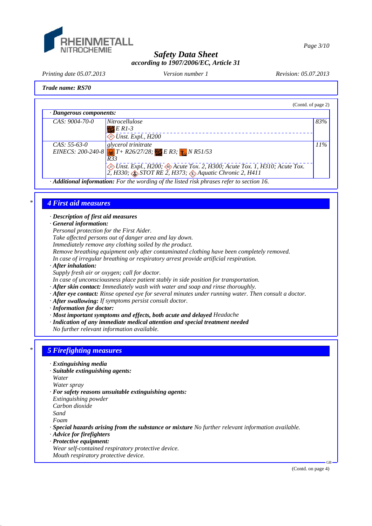

*Page 3/10*

### *Safety Data Sheet according to 1907/2006/EC, Article 31*

*Printing date 05.07.2013 Revision: 05.07.2013 Version number 1*

### *Trade name: RS70*

| $\cdot$ Dangerous components:<br>$CAS: 9004-70-0$<br><i>Nitrocellulose</i><br>$E$ R1-3<br>$\diamond$ Unst. Expl., H200<br>glycerol trinitrate<br>$CAS: 55-63-0$     | (Contd. of page 2) |                                                                  |
|---------------------------------------------------------------------------------------------------------------------------------------------------------------------|--------------------|------------------------------------------------------------------|
|                                                                                                                                                                     |                    |                                                                  |
|                                                                                                                                                                     | 83%                |                                                                  |
| R33<br><i>Solist. Expl., H200; Acute Tox. 2, H300; Acute Tox. 1, H310; Acute Tox.</i> 2, H330; $\circledast$ STOT RE 2, H373; $\circledast$ Aquatic Chronic 2, H411 | 11%                | EINECS: 200-240-8 $T + R26/27/28$ ; ER3; $\frac{1}{27}$ N R51/53 |

*· Additional information: For the wording of the listed risk phrases refer to section 16.*

### *\* 4 First aid measures*

*· Description of first aid measures*

*· General information:*

*Personal protection for the First Aider.*

*Take affected persons out of danger area and lay down.*

*Immediately remove any clothing soiled by the product.*

*Remove breathing equipment only after contaminated clothing have been completely removed.*

*In case of irregular breathing or respiratory arrest provide artificial respiration.*

*· After inhalation:*

*Supply fresh air or oxygen; call for doctor.*

*In case of unconsciousness place patient stably in side position for transportation.*

- *· After skin contact: Immediately wash with water and soap and rinse thoroughly.*
- *· After eye contact: Rinse opened eye for several minutes under running water. Then consult a doctor.*
- *· After swallowing: If symptoms persist consult doctor.*
- *· Information for doctor:*
- *· Most important symptoms and effects, both acute and delayed Headache*
- *· Indication of any immediate medical attention and special treatment needed*

*No further relevant information available.*

# *\* 5 Firefighting measures*

- *· Extinguishing media*
- *· Suitable extinguishing agents:*
- *Water*

*Water spray*

- *· For safety reasons unsuitable extinguishing agents:*
- *Extinguishing powder*
- *Carbon dioxide*

*Sand*

*Foam*

*· Special hazards arising from the substance or mixture No further relevant information available.*

- *· Advice for firefighters*
- *· Protective equipment:*
- *Wear self-contained respiratory protective device.*
- *Mouth respiratory protective device.*

GB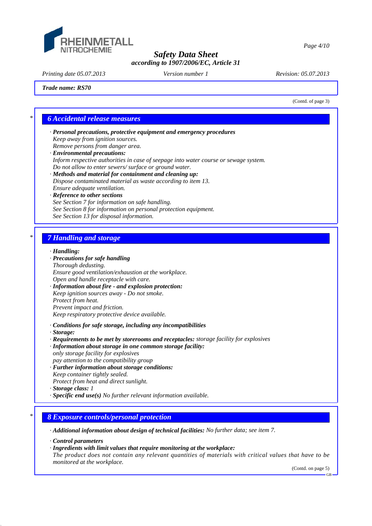

*Page 4/10*

### *Safety Data Sheet according to 1907/2006/EC, Article 31*

*Printing date 05.07.2013 Revision: 05.07.2013 Version number 1*

*Trade name: RS70*

(Contd. of page 3)

### *\* 6 Accidental release measures*

- *· Personal precautions, protective equipment and emergency procedures Keep away from ignition sources. Remove persons from danger area.*
- *· Environmental precautions: Inform respective authorities in case of seepage into water course or sewage system. Do not allow to enter sewers/ surface or ground water.*
- *· Methods and material for containment and cleaning up: Dispose contaminated material as waste according to item 13. Ensure adequate ventilation.*

#### *· Reference to other sections See Section 7 for information on safe handling. See Section 8 for information on personal protection equipment. See Section 13 for disposal information.*

# *\* 7 Handling and storage*

#### *· Handling:*

#### *· Precautions for safe handling*

*Thorough dedusting. Ensure good ventilation/exhaustion at the workplace. Open and handle receptacle with care.*

*· Information about fire - and explosion protection: Keep ignition sources away - Do not smoke. Protect from heat. Prevent impact and friction. Keep respiratory protective device available.*

*· Conditions for safe storage, including any incompatibilities*

- *· Storage:*
- *· Requirements to be met by storerooms and receptacles: storage facility for explosives*
- *· Information about storage in one common storage facility: only storage facility for explosives*
- *pay attention to the compatibility group*
- *· Further information about storage conditions: Keep container tightly sealed.*
- *Protect from heat and direct sunlight.*
- *· Storage class: 1*
- *· Specific end use(s) No further relevant information available.*

### *\* 8 Exposure controls/personal protection*

*· Additional information about design of technical facilities: No further data; see item 7.*

- *· Control parameters*
- *· Ingredients with limit values that require monitoring at the workplace:*
- *The product does not contain any relevant quantities of materials with critical values that have to be monitored at the workplace.*

(Contd. on page 5)

GB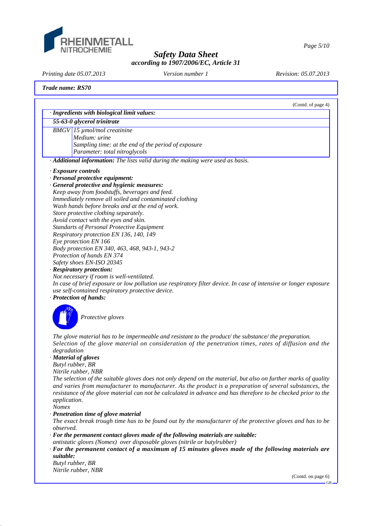

*Page 5/10*

# *Safety Data Sheet according to 1907/2006/EC, Article 31*

*Printing date 05.07.2013 Revision: 05.07.2013 Version number 1*

### *Trade name: RS70*

|             | (Contd. of page 4)                                                                                                                                                                                                                                                                                                                            |
|-------------|-----------------------------------------------------------------------------------------------------------------------------------------------------------------------------------------------------------------------------------------------------------------------------------------------------------------------------------------------|
|             | · Ingredients with biological limit values:                                                                                                                                                                                                                                                                                                   |
|             | 55-63-0 glycerol trinitrate                                                                                                                                                                                                                                                                                                                   |
|             | BMGV 15 µmol/mol creatinine                                                                                                                                                                                                                                                                                                                   |
|             | Medium: urine                                                                                                                                                                                                                                                                                                                                 |
|             | Sampling time: at the end of the period of exposure                                                                                                                                                                                                                                                                                           |
|             | Parameter: total nitroglycols                                                                                                                                                                                                                                                                                                                 |
|             | · Additional information: The lists valid during the making were used as basis.                                                                                                                                                                                                                                                               |
|             | · Exposure controls                                                                                                                                                                                                                                                                                                                           |
|             | · Personal protective equipment:                                                                                                                                                                                                                                                                                                              |
|             | · General protective and hygienic measures:                                                                                                                                                                                                                                                                                                   |
|             | Keep away from foodstuffs, beverages and feed.                                                                                                                                                                                                                                                                                                |
|             | Immediately remove all soiled and contaminated clothing                                                                                                                                                                                                                                                                                       |
|             | Wash hands before breaks and at the end of work.                                                                                                                                                                                                                                                                                              |
|             | Store protective clothing separately.                                                                                                                                                                                                                                                                                                         |
|             | Avoid contact with the eyes and skin.                                                                                                                                                                                                                                                                                                         |
|             | <b>Standarts of Personal Protective Equipment</b>                                                                                                                                                                                                                                                                                             |
|             | Respiratory protection EN 136, 140, 149                                                                                                                                                                                                                                                                                                       |
|             | Eye protection EN 166                                                                                                                                                                                                                                                                                                                         |
|             | Body protection EN 340, 463, 468, 943-1, 943-2                                                                                                                                                                                                                                                                                                |
|             | Protection of hands EN 374                                                                                                                                                                                                                                                                                                                    |
|             | Safety shoes EN-ISO 20345                                                                                                                                                                                                                                                                                                                     |
|             | · Respiratory protection:                                                                                                                                                                                                                                                                                                                     |
|             | Not necessary if room is well-ventilated.                                                                                                                                                                                                                                                                                                     |
|             | In case of brief exposure or low pollution use respiratory filter device. In case of intensive or longer exposure                                                                                                                                                                                                                             |
|             | use self-contained respiratory protective device.                                                                                                                                                                                                                                                                                             |
|             | · Protection of hands:                                                                                                                                                                                                                                                                                                                        |
|             | Protective gloves                                                                                                                                                                                                                                                                                                                             |
| degradation | The glove material has to be impermeable and resistant to the product/the substance/the preparation.<br>Selection of the glove material on consideration of the penetration times, rates of diffusion and the                                                                                                                                 |
|             | · Material of gloves                                                                                                                                                                                                                                                                                                                          |
|             | Butyl rubber, BR                                                                                                                                                                                                                                                                                                                              |
|             | Nitrile rubber, NBR                                                                                                                                                                                                                                                                                                                           |
|             | The selection of the suitable gloves does not only depend on the material, but also on further marks of quality<br>and varies from manufacturer to manufacturer. As the product is a preparation of several substances, the<br>resistance of the glove material can not be calculated in advance and has therefore to be checked prior to the |

*application. Nomex*

#### *· Penetration time of glove material*

*The exact break trough time has to be found out by the manufacturer of the protective gloves and has to be observed.*

*· For the permanent contact gloves made of the following materials are suitable:*

- *antistatic gloves (Nomex) over disposable gloves (nitrile or butylrubber)*
- *· For the permanent contact of a maximum of 15 minutes gloves made of the following materials are suitable:*

*Butyl rubber, BR Nitrile rubber, NBR*

(Contd. on page 6)

GB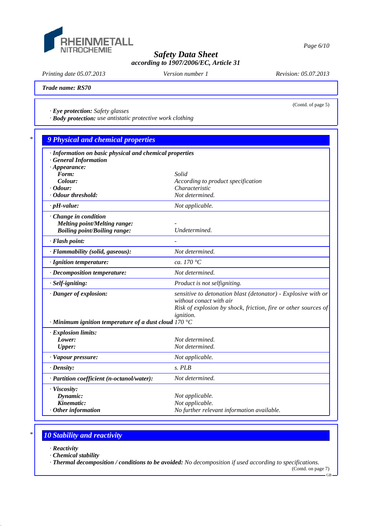

*Printing date 05.07.2013 Revision: 05.07.2013 Version number 1*

(Contd. of page 5)

*Trade name: RS70*

*· Eye protection: Safety glasses*

*· Body protection: use antistatic protective work clothing*

| · Information on basic physical and chemical properties<br><b>General Information</b> |                                                                |
|---------------------------------------------------------------------------------------|----------------------------------------------------------------|
| $\cdot$ Appearance:                                                                   |                                                                |
| Form:                                                                                 | Solid                                                          |
| Colour:                                                                               | According to product specification                             |
| $\cdot$ Odour:                                                                        | Characteristic                                                 |
| · Odour threshold:                                                                    | Not determined.                                                |
| $\cdot$ pH-value:                                                                     | Not applicable.                                                |
| Change in condition                                                                   |                                                                |
| <b>Melting point/Melting range:</b>                                                   |                                                                |
| <b>Boiling point/Boiling range:</b>                                                   | Undetermined.                                                  |
| · Flash point:                                                                        |                                                                |
| · Flammability (solid, gaseous):                                                      | Not determined.                                                |
| · Ignition temperature:                                                               | ca. 170 $\degree$ C                                            |
| · Decomposition temperature:                                                          | Not determined.                                                |
| $·$ <i>Self-igniting</i> :                                                            | Product is not selfigniting.                                   |
| · Danger of explosion:                                                                | sensitive to detonation blast (detonator) - Explosive with or  |
|                                                                                       | without conact with air                                        |
|                                                                                       | Risk of explosion by shock, friction, fire or other sources of |
|                                                                                       | <i>ignition.</i>                                               |
| $\cdot$ Minimum ignition temperature of a dust cloud 170 °C                           |                                                                |
| $\cdot$ Explosion limits:                                                             |                                                                |
| Lower:                                                                                | Not determined.                                                |
| <b>Upper:</b>                                                                         | Not determined.                                                |
| · Vapour pressure:                                                                    | Not applicable.                                                |
| $\cdot$ Density:                                                                      | $S.$ PLB                                                       |
| · Partition coefficient (n-octanol/water):                                            | Not determined.                                                |
| · Viscosity:                                                                          |                                                                |
| Dynamic:                                                                              | Not applicable.                                                |
| Kinematic:                                                                            | Not applicable.                                                |
| $·$ Other information                                                                 | No further relevant information available.                     |

# *\* 10 Stability and reactivity*

*· Reactivity*

*· Chemical stability*

*· Thermal decomposition / conditions to be avoided: No decomposition if used according to specifications.*

(Contd. on page 7) GB

*Page 6/10*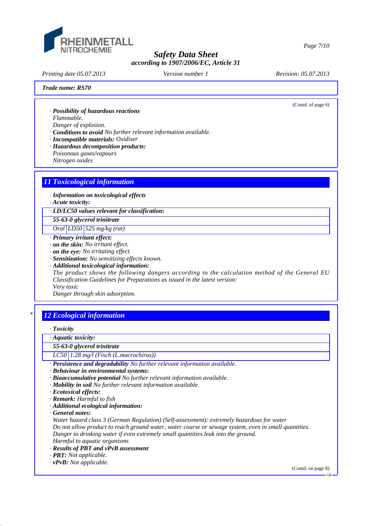

*Printing date 05.07.2013 Revision: 05.07.2013 Version number 1*

(Contd. of page 6)

*Trade name: RS70*

*· Possibility of hazardous reactions*

*Flammable. Danger of explosion.*

*· Conditions to avoid No further relevant information available.*

*· Incompatible materials: Oxidiser*

- *· Hazardous decomposition products:*
- *Poisonous gases/vapours*

*Nitrogen oxides*

# *11 Toxicological information*

*· Information on toxicological effects*

*· Acute toxicity:*

*· LD/LC50 values relevant for classification:*

*55-63-0 glycerol trinitrate*

*Oral LD50 525 mg/kg (rat)*

*· Primary irritant effect:*

*· on the skin: No irritant effect.*

*· on the eye: No irritating effect.*

- *· Sensitization: No sensitizing effects known.*
- *· Additional toxicological information:*

*The product shows the following dangers according to the calculation method of the General EU Classification Guidelines for Preparations as issued in the latest version:*

*Very toxic*

*Danger through skin adsorption.*

# *\* 12 Ecological information*

*· Toxicity*

*· Aquatic toxicity:*

*55-63-0 glycerol trinitrate*

*LC50 1.28 mg/l (Fisch (L.macrochirus))*

*· Persistence and degradability No further relevant information available.*

- *· Behaviour in environmental systems:*
- *· Bioaccumulative potential No further relevant information available.*
- *· Mobility in soil No further relevant information available.*
- *· Ecotoxical effects:*
- *· Remark: Harmful to fish*
- *· Additional ecological information:*

*· General notes:*

*Water hazard class 3 (German Regulation) (Self-assessment): extremely hazardous for water Do not allow product to reach ground water, water course or sewage system, even in small quantities. Danger to drinking water if even extremely small quantities leak into the ground.*

*Harmful to aquatic organisms · Results of PBT and vPvB assessment*

*· PBT: Not applicable.*

*· vPvB: Not applicable.*

(Contd. on page 8)

GB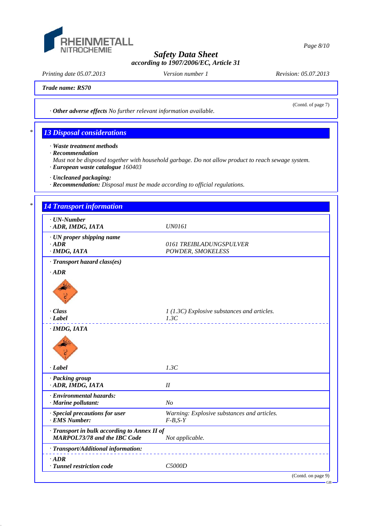

*Printing date 05.07.2013 Revision: 05.07.2013 Version number 1*

(Contd. of page 7)

*Trade name: RS70*

*· Other adverse effects No further relevant information available.*

# *\* 13 Disposal considerations*

*· Waste treatment methods*

- *· Recommendation*
- *Must not be disposed together with household garbage. Do not allow product to reach sewage system. · European waste catalogue 160403*
- *· Uncleaned packaging:*
- *· Recommendation: Disposal must be made according to official regulations.*

# *\* 14 Transport information · UN-Number · ADR, IMDG, IATA UN0161 · UN proper shipping name · ADR 0161 TREIBLADUNGSPULVER · IMDG, IATA POWDER, SMOKELESS · Transport hazard class(es) · ADR · Class 1 (1.3C) Explosive substances and articles. · Label 1.3C · IMDG, IATA · Label 1.3C · Packing group · ADR, IMDG, IATA II · Environmental hazards: · Marine pollutant: No · Special precautions for user Warning: Explosive substances and articles. · EMS Number: F-B,S-Y · Transport in bulk according to Annex II of MARPOL73/78 and the IBC Code Not applicable. · Transport/Additional information: · ADR · Tunnel restriction code C5000D* (Contd. on page 9) GB

*Page 8/10*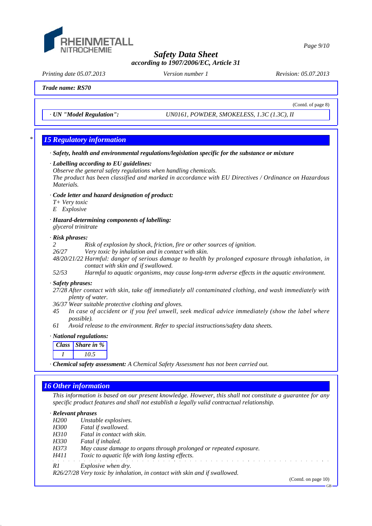

*Printing date 05.07.2013 Revision: 05.07.2013 Version number 1*

(Contd. of page 8)

*Trade name: RS70*

*· UN "Model Regulation": UN0161, POWDER, SMOKELESS, 1.3C (1.3C), II*

### *\* 15 Regulatory information*

- *· Safety, health and environmental regulations/legislation specific for the substance or mixture*
- *· Labelling according to EU guidelines:*

*Observe the general safety regulations when handling chemicals. The product has been classified and marked in accordance with EU Directives / Ordinance on Hazardous Materials.*

- *· Code letter and hazard designation of product:*
- *T+ Very toxic*
- *E Explosive*
- *· Hazard-determining components of labelling: glycerol trinitrate*

#### *· Risk phrases:*

*2 Risk of explosion by shock, friction, fire or other sources of ignition.*

- *26/27 Very toxic by inhalation and in contact with skin.*
- *48/20/21/22 Harmful: danger of serious damage to health by prolonged exposure through inhalation, in contact with skin and if swallowed.*
- *52/53 Harmful to aquatic organisms, may cause long-term adverse effects in the aquatic environment.*

#### *· Safety phrases:*

- *27/28 After contact with skin, take off immediately all contaminated clothing, and wash immediately with plenty of water.*
- *36/37 Wear suitable protective clothing and gloves.*
- *45 In case of accident or if you feel unwell, seek medical advice immediately (show the label where possible).*
- *61 Avoid release to the environment. Refer to special instructions/safety data sheets.*

#### *· National regulations:*

| Class | Share in $%$ |
|-------|--------------|
|       | 105          |

*· Chemical safety assessment: A Chemical Safety Assessment has not been carried out.*

### *16 Other information*

*This information is based on our present knowledge. However, this shall not constitute a guarantee for any specific product features and shall not establish a legally valid contractual relationship.*

#### *· Relevant phrases*

*H200 Unstable explosives.*

- *H300 Fatal if swallowed.*
- *H310 Fatal in contact with skin.*
- *H330 Fatal if inhaled.*
- *H373 May cause damage to organs through prolonged or repeated exposure.*
- *H411 Toxic to aquatic life with long lasting effects.*
- *R1 Explosive when dry.*

*R26/27/28 Very toxic by inhalation, in contact with skin and if swallowed.*